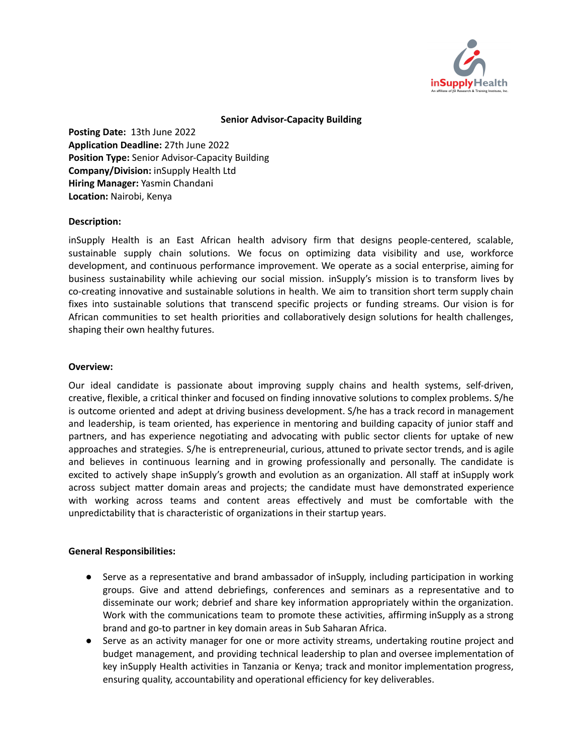

## **Senior Advisor-Capacity Building**

**Posting Date:** 13th June 2022 **Application Deadline:** 27th June 2022 **Position Type:** Senior Advisor-Capacity Building **Company/Division:** inSupply Health Ltd **Hiring Manager:** Yasmin Chandani **Location:** Nairobi, Kenya

## **Description:**

inSupply Health is an East African health advisory firm that designs people-centered, scalable, sustainable supply chain solutions. We focus on optimizing data visibility and use, workforce development, and continuous performance improvement. We operate as a social enterprise, aiming for business sustainability while achieving our social mission. inSupply's mission is to transform lives by co-creating innovative and sustainable solutions in health. We aim to transition short term supply chain fixes into sustainable solutions that transcend specific projects or funding streams. Our vision is for African communities to set health priorities and collaboratively design solutions for health challenges, shaping their own healthy futures.

## **Overview:**

Our ideal candidate is passionate about improving supply chains and health systems, self-driven, creative, flexible, a critical thinker and focused on finding innovative solutions to complex problems. S/he is outcome oriented and adept at driving business development. S/he has a track record in management and leadership, is team oriented, has experience in mentoring and building capacity of junior staff and partners, and has experience negotiating and advocating with public sector clients for uptake of new approaches and strategies. S/he is entrepreneurial, curious, attuned to private sector trends, and is agile and believes in continuous learning and in growing professionally and personally. The candidate is excited to actively shape inSupply's growth and evolution as an organization. All staff at inSupply work across subject matter domain areas and projects; the candidate must have demonstrated experience with working across teams and content areas effectively and must be comfortable with the unpredictability that is characteristic of organizations in their startup years.

# **General Responsibilities:**

- Serve as a representative and brand ambassador of inSupply, including participation in working groups. Give and attend debriefings, conferences and seminars as a representative and to disseminate our work; debrief and share key information appropriately within the organization. Work with the communications team to promote these activities, affirming inSupply as a strong brand and go-to partner in key domain areas in Sub Saharan Africa.
- Serve as an activity manager for one or more activity streams, undertaking routine project and budget management, and providing technical leadership to plan and oversee implementation of key inSupply Health activities in Tanzania or Kenya; track and monitor implementation progress, ensuring quality, accountability and operational efficiency for key deliverables.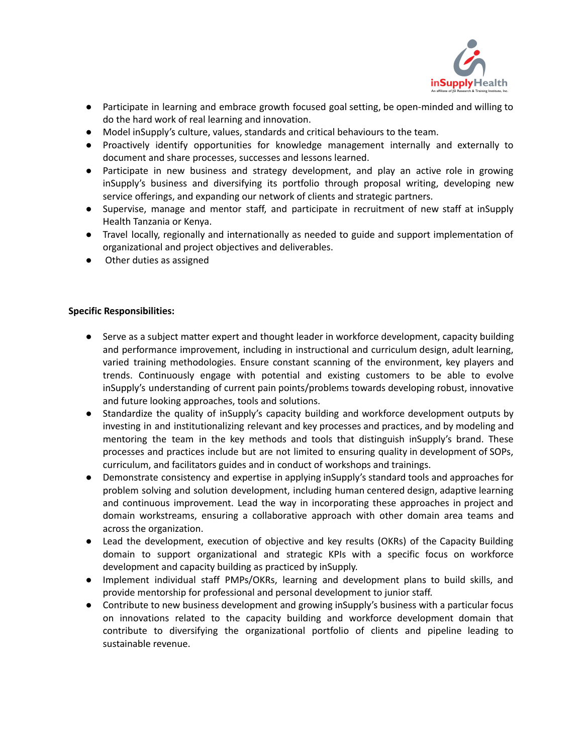

- Participate in learning and embrace growth focused goal setting, be open-minded and willing to do the hard work of real learning and innovation.
- Model inSupply's culture, values, standards and critical behaviours to the team.
- Proactively identify opportunities for knowledge management internally and externally to document and share processes, successes and lessons learned.
- Participate in new business and strategy development, and play an active role in growing inSupply's business and diversifying its portfolio through proposal writing, developing new service offerings, and expanding our network of clients and strategic partners.
- Supervise, manage and mentor staff, and participate in recruitment of new staff at inSupply Health Tanzania or Kenya.
- Travel locally, regionally and internationally as needed to guide and support implementation of organizational and project objectives and deliverables.
- Other duties as assigned

# **Specific Responsibilities:**

- Serve as a subject matter expert and thought leader in workforce development, capacity building and performance improvement, including in instructional and curriculum design, adult learning, varied training methodologies. Ensure constant scanning of the environment, key players and trends. Continuously engage with potential and existing customers to be able to evolve inSupply's understanding of current pain points/problems towards developing robust, innovative and future looking approaches, tools and solutions.
- Standardize the quality of inSupply's capacity building and workforce development outputs by investing in and institutionalizing relevant and key processes and practices, and by modeling and mentoring the team in the key methods and tools that distinguish inSupply's brand. These processes and practices include but are not limited to ensuring quality in development of SOPs, curriculum, and facilitators guides and in conduct of workshops and trainings.
- Demonstrate consistency and expertise in applying inSupply's standard tools and approaches for problem solving and solution development, including human centered design, adaptive learning and continuous improvement. Lead the way in incorporating these approaches in project and domain workstreams, ensuring a collaborative approach with other domain area teams and across the organization.
- Lead the development, execution of objective and key results (OKRs) of the Capacity Building domain to support organizational and strategic KPIs with a specific focus on workforce development and capacity building as practiced by inSupply.
- Implement individual staff PMPs/OKRs, learning and development plans to build skills, and provide mentorship for professional and personal development to junior staff.
- Contribute to new business development and growing inSupply's business with a particular focus on innovations related to the capacity building and workforce development domain that contribute to diversifying the organizational portfolio of clients and pipeline leading to sustainable revenue.